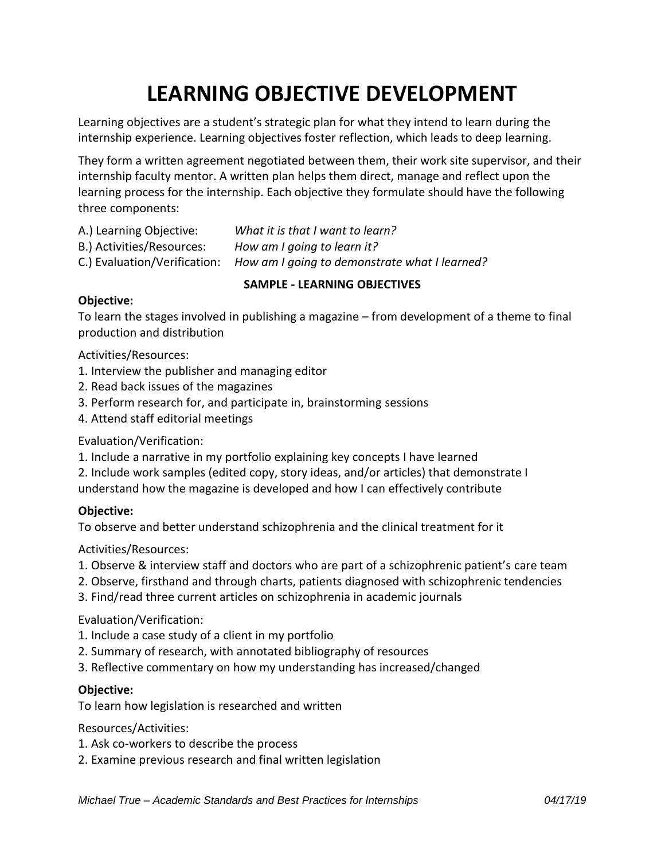# **LEARNING OBJECTIVE DEVELOPMENT**

Learning objectives are a student's strategic plan for what they intend to learn during the internship experience. Learning objectives foster reflection, which leads to deep learning.

They form a written agreement negotiated between them, their work site supervisor, and their internship faculty mentor. A written plan helps them direct, manage and reflect upon the learning process for the internship. Each objective they formulate should have the following three components:

- A.) Learning Objective: *What it is that I want to learn?*
- B.) Activities/Resources: *How am I going to learn it?*
- C.) Evaluation/Verification: *How am I going to demonstrate what I learned?*

## **SAMPLE - LEARNING OBJECTIVES**

## **Objective:**

To learn the stages involved in publishing a magazine – from development of a theme to final production and distribution

Activities/Resources:

- 1. Interview the publisher and managing editor
- 2. Read back issues of the magazines
- 3. Perform research for, and participate in, brainstorming sessions
- 4. Attend staff editorial meetings

## Evaluation/Verification:

- 1. Include a narrative in my portfolio explaining key concepts I have learned
- 2. Include work samples (edited copy, story ideas, and/or articles) that demonstrate I
- understand how the magazine is developed and how I can effectively contribute

## **Objective:**

To observe and better understand schizophrenia and the clinical treatment for it

## Activities/Resources:

- 1. Observe & interview staff and doctors who are part of a schizophrenic patient's care team
- 2. Observe, firsthand and through charts, patients diagnosed with schizophrenic tendencies
- 3. Find/read three current articles on schizophrenia in academic journals

## Evaluation/Verification:

- 1. Include a case study of a client in my portfolio
- 2. Summary of research, with annotated bibliography of resources
- 3. Reflective commentary on how my understanding has increased/changed

## **Objective:**

To learn how legislation is researched and written

Resources/Activities:

- 1. Ask co-workers to describe the process
- 2. Examine previous research and final written legislation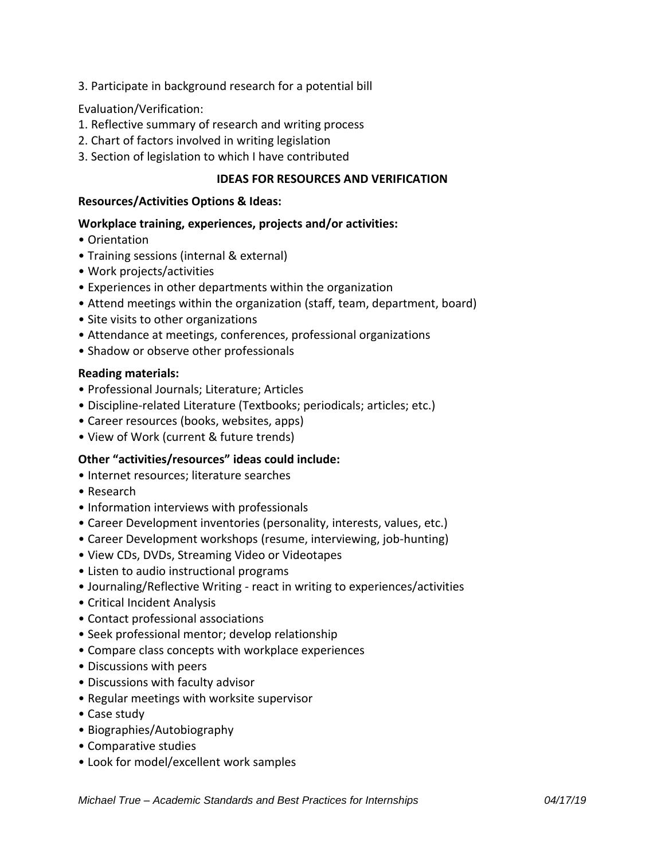3. Participate in background research for a potential bill

## Evaluation/Verification:

- 1. Reflective summary of research and writing process
- 2. Chart of factors involved in writing legislation
- 3. Section of legislation to which I have contributed

# **IDEAS FOR RESOURCES AND VERIFICATION**

## **Resources/Activities Options & Ideas:**

## **Workplace training, experiences, projects and/or activities:**

- Orientation
- Training sessions (internal & external)
- Work projects/activities
- Experiences in other departments within the organization
- Attend meetings within the organization (staff, team, department, board)
- Site visits to other organizations
- Attendance at meetings, conferences, professional organizations
- Shadow or observe other professionals

## **Reading materials:**

- Professional Journals; Literature; Articles
- Discipline-related Literature (Textbooks; periodicals; articles; etc.)
- Career resources (books, websites, apps)
- View of Work (current & future trends)

## **Other "activities/resources" ideas could include:**

- Internet resources; literature searches
- Research
- Information interviews with professionals
- Career Development inventories (personality, interests, values, etc.)
- Career Development workshops (resume, interviewing, job-hunting)
- View CDs, DVDs, Streaming Video or Videotapes
- Listen to audio instructional programs
- Journaling/Reflective Writing react in writing to experiences/activities
- Critical Incident Analysis
- Contact professional associations
- Seek professional mentor; develop relationship
- Compare class concepts with workplace experiences
- Discussions with peers
- Discussions with faculty advisor
- Regular meetings with worksite supervisor
- Case study
- Biographies/Autobiography
- Comparative studies
- Look for model/excellent work samples